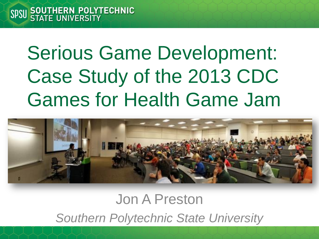# Serious Game Development: Case Study of the 2013 CDC Games for Health Game Jam



#### Jon A Preston *Southern Polytechnic State University*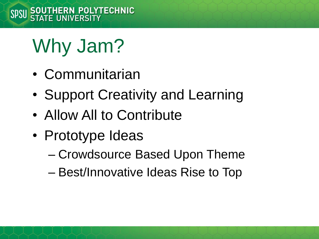# Why Jam?

- Communitarian
- Support Creativity and Learning
- Allow All to Contribute
- Prototype Ideas
	- Crowdsource Based Upon Theme
	- Best/Innovative Ideas Rise to Top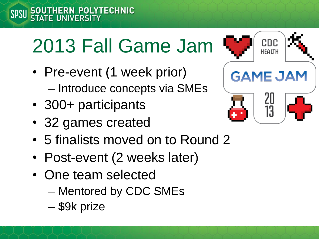# 2013 Fall Game Jam

- Pre-event (1 week prior) – Introduce concepts via SMEs
- 300+ participants
- 32 games created
- 5 finalists moved on to Round 2
- Post-event (2 weeks later)
- One team selected
	- Mentored by CDC SMEs
	- \$9k prize

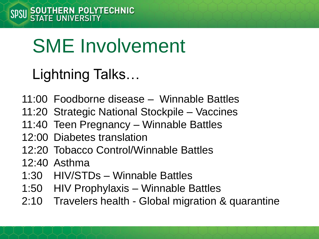# SME Involvement

#### Lightning Talks…

- 11:00 Foodborne disease Winnable Battles
- 11:20 Strategic National Stockpile Vaccines
- 11:40 Teen Pregnancy Winnable Battles
- 12:00 Diabetes translation
- 12:20 Tobacco Control/Winnable Battles
- 12:40 Asthma
- 1:30 HIV/STDs Winnable Battles
- 1:50 HIV Prophylaxis Winnable Battles
- 2:10 Travelers health Global migration & quarantine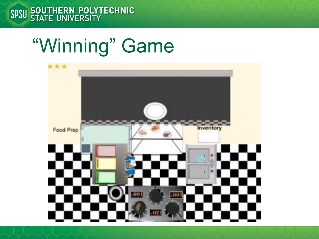## "Winning" Game

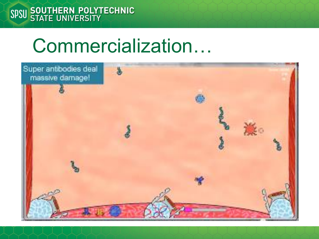### Commercialization…

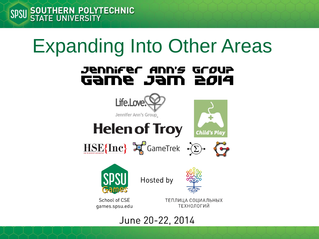## Expanding Into Other Areas

#### Jennifer Ann's Grøup **FIDS MET 9MED**



June 20-22, 2014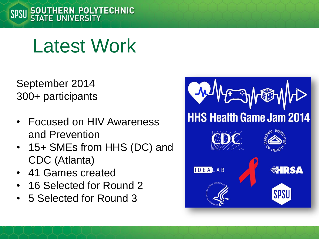

September 2014 300+ participants

- Focused on HIV Awareness and Prevention
- 15+ SMEs from HHS (DC) and CDC (Atlanta)
- 41 Games created
- 16 Selected for Round 2
- 5 Selected for Round 3

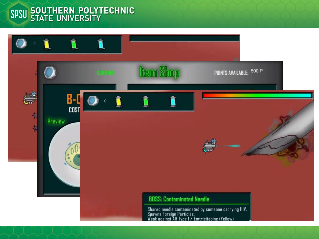#### SPSU SOUTHERN POLYTECHNIC

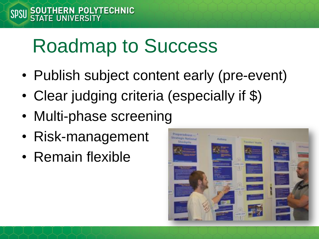# Roadmap to Success

- Publish subject content early (pre-event)
- Clear judging criteria (especially if \$)
- Multi-phase screening
- Risk-management
- Remain flexible

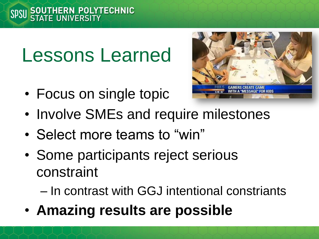## Lessons Learned

• Focus on single topic



- Involve SMEs and require milestones
- Select more teams to "win"
- Some participants reject serious constraint

– In contrast with GGJ intentional constriants

• **Amazing results are possible**